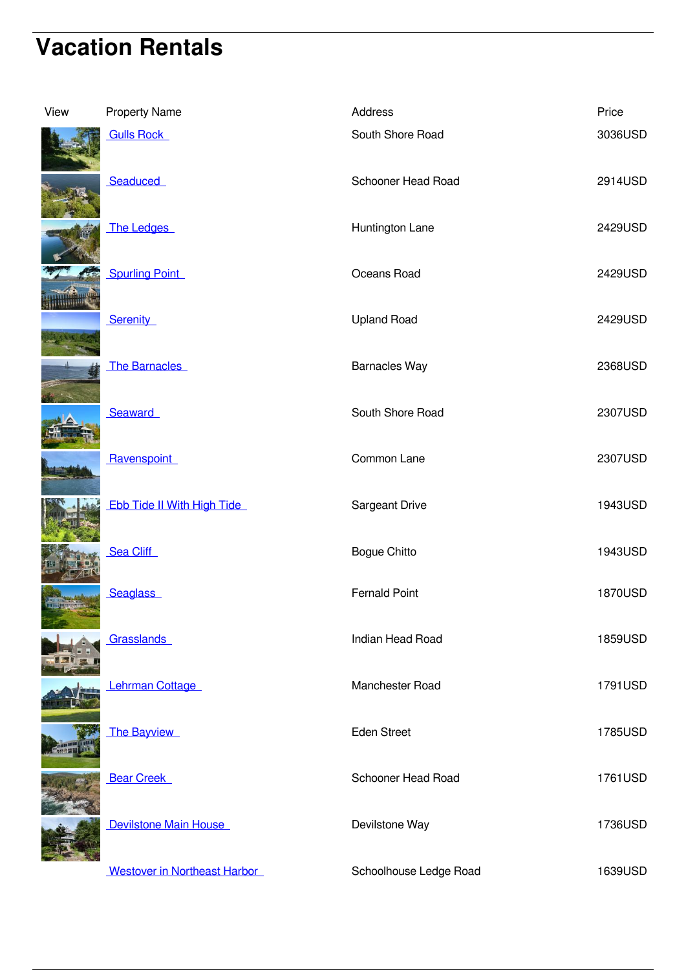## **Vacation Rentals**

| View | <b>Property Name</b>              | Address                | Price   |
|------|-----------------------------------|------------------------|---------|
|      | <b>Gulls Rock</b>                 | South Shore Road       | 3036USD |
|      | Seaduced                          | Schooner Head Road     | 2914USD |
|      | The Ledges                        | Huntington Lane        | 2429USD |
|      | <b>Spurling Point</b>             | Oceans Road            | 2429USD |
|      | Serenity                          | <b>Upland Road</b>     | 2429USD |
|      | <b>The Barnacles</b>              | <b>Barnacles Way</b>   | 2368USD |
|      | Seaward                           | South Shore Road       | 2307USD |
|      | Ravenspoint                       | Common Lane            | 2307USD |
|      | <b>Ebb Tide II With High Tide</b> | Sargeant Drive         | 1943USD |
|      | Sea Cliff                         | <b>Bogue Chitto</b>    | 1943USD |
|      | <b>Seaglass</b>                   | <b>Fernald Point</b>   | 1870USD |
|      | Grasslands                        | Indian Head Road       | 1859USD |
|      | Lehrman Cottage                   | Manchester Road        | 1791USD |
|      | The Bayview                       | Eden Street            | 1785USD |
|      | <b>Bear Creek</b>                 | Schooner Head Road     | 1761USD |
|      | Devilstone Main House             | Devilstone Way         | 1736USD |
|      | Westover in Northeast Harbor      | Schoolhouse Ledge Road | 1639USD |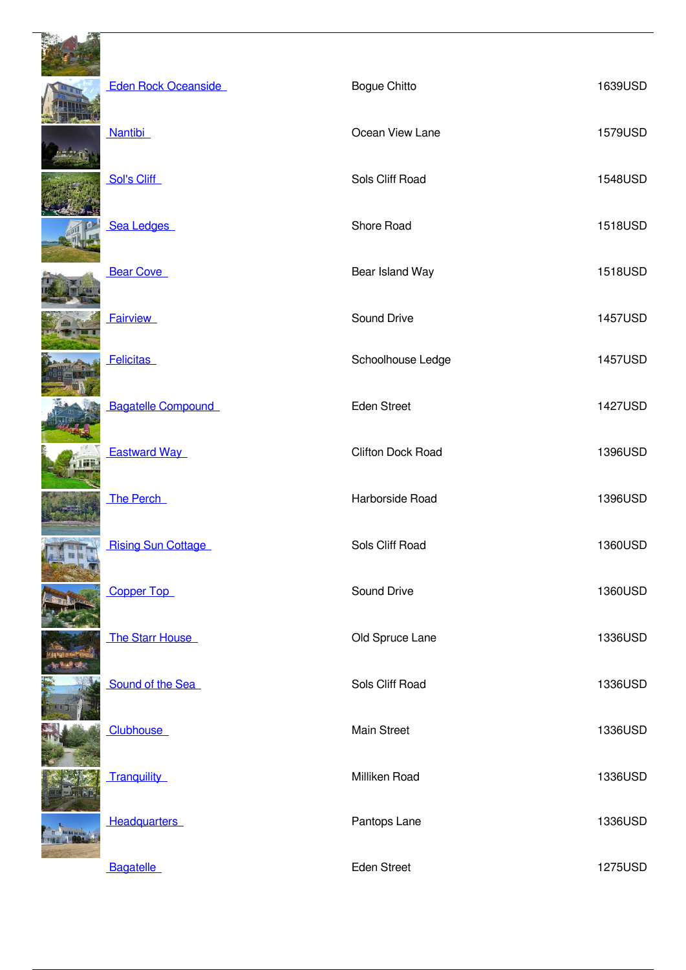|  | <b>Eden Rock Oceanside</b> | <b>Bogue Chitto</b>      | 1639USD |
|--|----------------------------|--------------------------|---------|
|  | <b>Nantibi</b>             | Ocean View Lane          | 1579USD |
|  | Sol's Cliff                | Sols Cliff Road          | 1548USD |
|  | Sea Ledges                 | Shore Road               | 1518USD |
|  | <b>Bear Cove</b>           | Bear Island Way          | 1518USD |
|  | <b>Fairview</b>            | Sound Drive              | 1457USD |
|  | <b>Felicitas</b>           | Schoolhouse Ledge        | 1457USD |
|  | <b>Bagatelle Compound</b>  | <b>Eden Street</b>       | 1427USD |
|  | <b>Eastward Way</b>        | <b>Clifton Dock Road</b> | 1396USD |
|  | The Perch                  | Harborside Road          | 1396USD |
|  | <b>Rising Sun Cottage</b>  | Sols Cliff Road          | 1360USD |
|  | <b>Copper Top</b>          | Sound Drive              | 1360USD |
|  | The Starr House            | Old Spruce Lane          | 1336USD |
|  | Sound of the Sea           | Sols Cliff Road          | 1336USD |
|  | <b>Clubhouse</b>           | Main Street              | 1336USD |
|  | <b>Tranquility</b>         | Milliken Road            | 1336USD |
|  | <b>Headquarters</b>        | Pantops Lane             | 1336USD |
|  | <b>Bagatelle</b>           | Eden Street              | 1275USD |